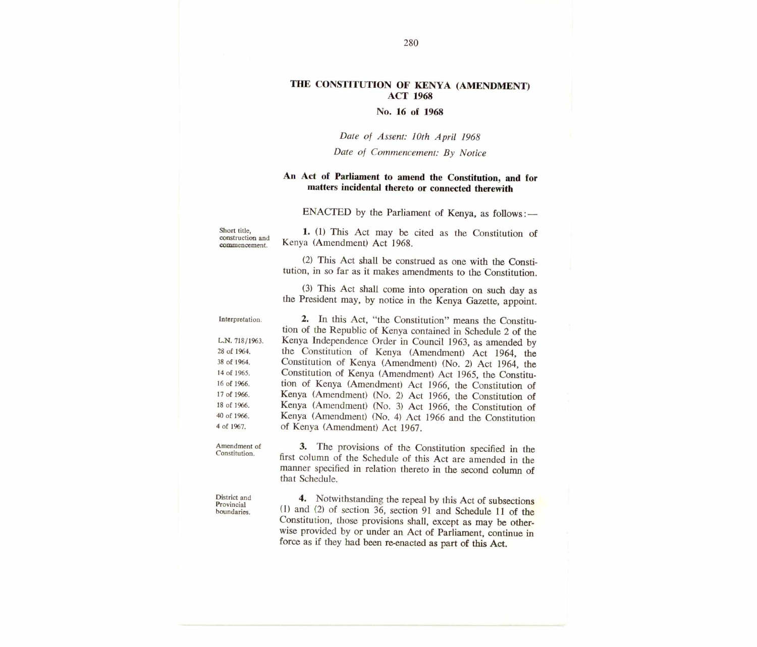### **THE CONSTITUTION OF KENYA (AMENDMENT) ACT 1968**

#### **No. 16 of 1968**

#### *Date of Assent: 10th April 1968*

#### *Date of Commencement: By Notice*

## **An Act of Parliament to amend the Constitution, and for matters incidental thereto or connected therewith**

**ENACTED by the Parliament of Kenya, as follows:—** 

Short title, construction and commencement.

**District and Provincial boundaries.** 

**1. (1) This Act may be cited as the Constitution of Kenya (Amendment) Act 1968.** 

**(2) This Act shall be construed as one with the Constitution, in so far as it makes amendments to the Constitution.** 

**(3) This Act shall come into operation on such day as the President may, by notice in the Kenya Gazette, appoint.** 

**2. In this Act, "the Constitution" means the Constitution of the Republic of Kenya contained in Schedule 2 of the Kenya Independence Order in Council 1963, as amended by the Constitution of Kenya (Amendment) Act 1964, the Constitution of Kenya (Amendment) (No. 2) Act 1964, the Constitution of Kenya (Amendment) Act 1965, the Constitution of Kenya (Amendment) Act 1966, the Constitution of Kenya (Amendment) (No. 2) Act 1966, the Constitution of Kenya (Amendment) (No. 3) Act 1966, the Constitution of Kenya (Amendment) (No. 4) Act 1966 and the Constitution of Kenya (Amendment) Act 1967. Interpretation. L.N. 718/1963. 28 of 1964. 38 of 1964. 14 of 1965. 16 of 1966. 17 of 1966. 18 of 1966. 40 of 1966. 4 of 1967.** 

**Amendment of Constitution.** 

**3. The provisions of the Constitution specified in the first column of the Schedule of this Act are amended in the manner specified in relation thereto in the second column of that Schedule.** 

**4. Notwithstanding the repeal by this Act of subsections (1) and (2) of section 36, section 91 and Schedule 11 of the Constitution, those provisions shall, except as may be otherwise provided by or under an Act of Parliament, continue in force as if they had been re-enacted as part of this Act.**